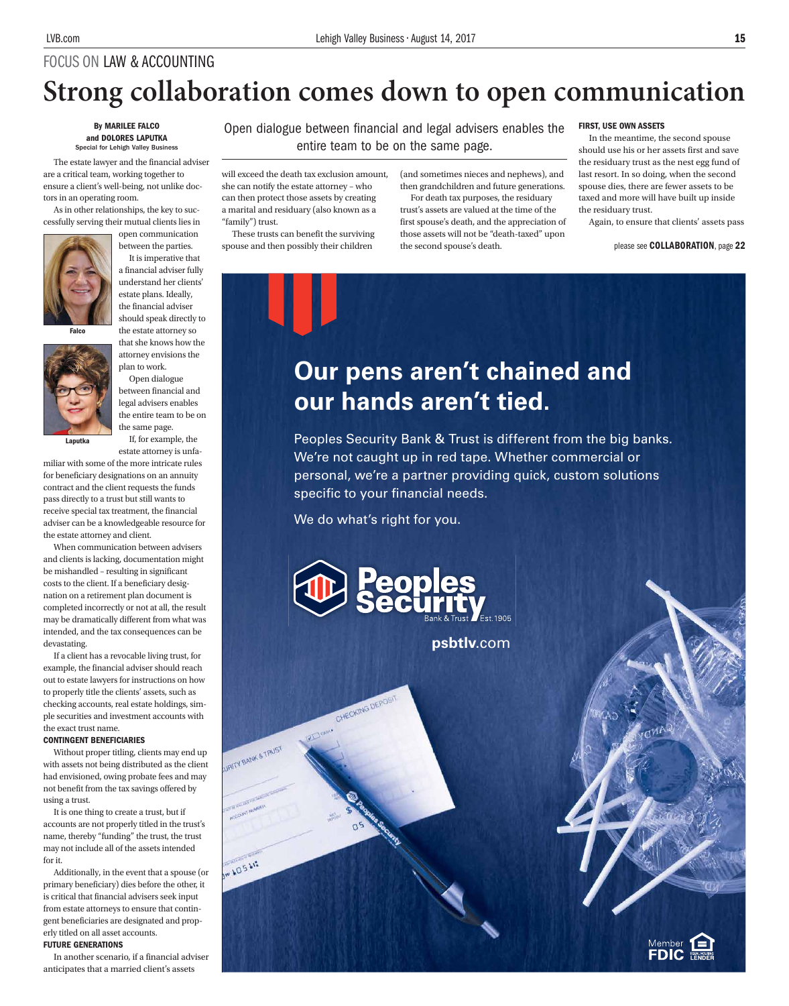# FOCUS ON LAW & ACCOUNTING **Strong collaboration comes down to open communication**

#### By MARILEE FALCO and DOLORES LAPUTKA cial for Lehigh Valley Busi

The estate lawyer and the financial adviser are a critical team, working together to ensure a client's well-being, not unlike doctors in an operating room.

As in other relationships, the key to successfully serving their mutual clients lies in



open communication between the parties.

It is imperative that a financial adviser fully understand her clients' estate plans. Ideally, the financial adviser should speak directly to the estate attorney so

that she knows how the attorney envisions the

Falco

Laputka



plan to work. Open dialogue between financial and

estate attorney is unfa-

miliar with some of the more intricate rules for beneficiary designations on an annuity contract and the client requests the funds pass directly to a trust but still wants to receive special tax treatment, the financial adviser can be a knowledgeable resource for the estate attorney and client.

When communication between advisers and clients is lacking, documentation might be mishandled – resulting in significant costs to the client. If a beneficiary designation on a retirement plan document is completed incorrectly or not at all, the result may be dramatically different from what was intended, and the tax consequences can be devastating.

If a client has a revocable living trust, for example, the financial adviser should reach out to estate lawyers for instructions on how to properly title the clients' assets, such as checking accounts, real estate holdings, simple securities and investment accounts with the exact trust name.

### CONTINGENT BENEFICIARIES

Without proper titling, clients may end up with assets not being distributed as the client had envisioned, owing probate fees and may not benefit from the tax savings offered by using a trust.

It is one thing to create a trust, but if accounts are not properly titled in the trust's name, thereby "funding" the trust, the trust may not include all of the assets intended for it.

Additionally, in the event that a spouse (or primary beneficiary) dies before the other, it is critical that financial advisers seek input from estate attorneys to ensure that contingent beneficiaries are designated and properly titled on all asset accounts. FUTURE GENERATIONS

In another scenario, if a financial adviser anticipates that a married client's assets

Open dialogue between financial and legal advisers enables the entire team to be on the same page.

will exceed the death tax exclusion amount, she can notify the estate attorney – who can then protect those assets by creating a marital and residuary (also known as a "family") trust.

These trusts can benefit the surviving spouse and then possibly their children

(and sometimes nieces and nephews), and then grandchildren and future generations. For death tax purposes, the residuary

trust's assets are valued at the time of the first spouse's death, and the appreciation of those assets will not be "death-taxed" upon the second spouse's death.

#### FIRST, USE OWN ASSETS

In the meantime, the second spouse should use his or her assets first and save the residuary trust as the nest egg fund of last resort. In so doing, when the second spouse dies, there are fewer assets to be taxed and more will have built up inside the residuary trust.

Again, to ensure that clients' assets pass

please see COLLABORATION, page 22

**Our pens aren't chained and our hands aren't tied.**

Peoples Security Bank & Trust is different from the big banks. We're not caught up in red tape. Whether commercial or personal, we're a partner providing quick, custom solutions specific to your financial needs.

We do what's right for you.

CHECKING DEPOSIT

**URITY BANK & TRUST** 

**MAOSAIS** 



**psbtlv**.com

Member<br>**FDIC**